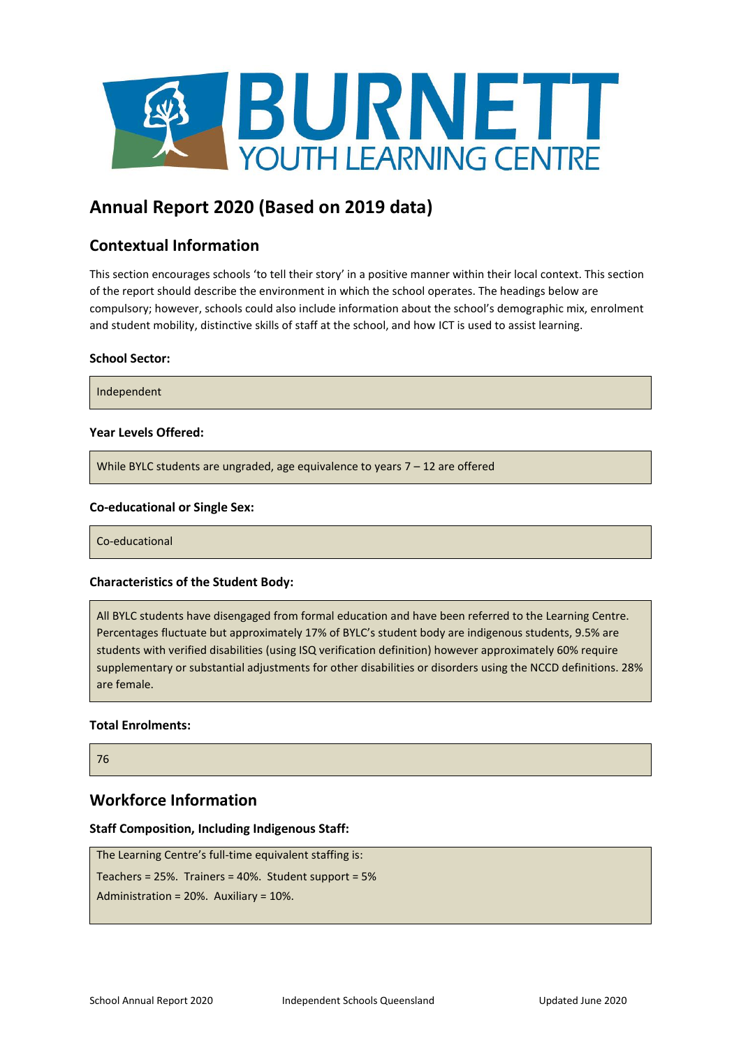

# **Annual Report 2020 (Based on 2019 data)**

# **Contextual Information**

This section encourages schools 'to tell their story' in a positive manner within their local context. This section of the report should describe the environment in which the school operates. The headings below are compulsory; however, schools could also include information about the school's demographic mix, enrolment and student mobility, distinctive skills of staff at the school, and how ICT is used to assist learning.

### **School Sector:**

Independent

### **Year Levels Offered:**

While BYLC students are ungraded, age equivalence to years 7 – 12 are offered

### **Co-educational or Single Sex:**

Co-educational

### **Characteristics of the Student Body:**

All BYLC students have disengaged from formal education and have been referred to the Learning Centre. Percentages fluctuate but approximately 17% of BYLC's student body are indigenous students, 9.5% are students with verified disabilities (using ISQ verification definition) however approximately 60% require supplementary or substantial adjustments for other disabilities or disorders using the NCCD definitions. 28% are female.

### **Total Enrolments:**

76

### **Workforce Information**

### **Staff Composition, Including Indigenous Staff:**

```
The Learning Centre's full-time equivalent staffing is: 
Teachers = 25%. Trainers = 40%. Student support = 5%
Administration = 20%. Auxiliary = 10%.
```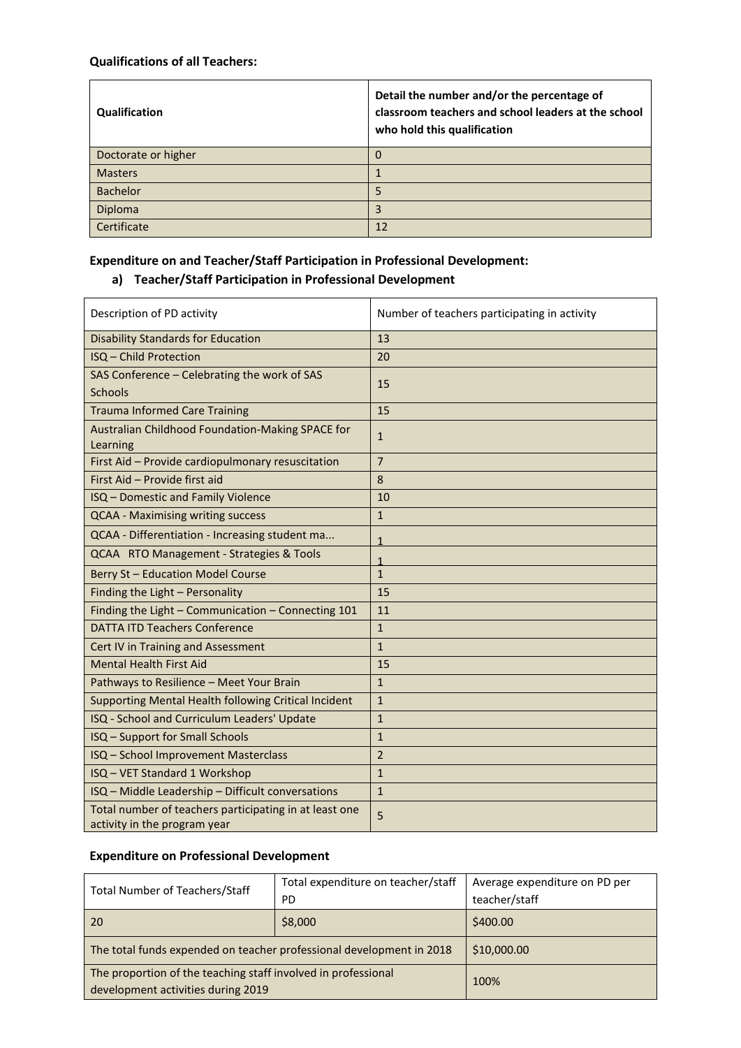### **Qualifications of all Teachers:**

| Qualification       | Detail the number and/or the percentage of<br>classroom teachers and school leaders at the school<br>who hold this qualification |
|---------------------|----------------------------------------------------------------------------------------------------------------------------------|
| Doctorate or higher | 0                                                                                                                                |
| <b>Masters</b>      |                                                                                                                                  |
| <b>Bachelor</b>     | 5                                                                                                                                |
| Diploma             | 3                                                                                                                                |
| Certificate         | 12                                                                                                                               |

# **Expenditure on and Teacher/Staff Participation in Professional Development:**

# **a) Teacher/Staff Participation in Professional Development**

| Description of PD activity                                                             | Number of teachers participating in activity |
|----------------------------------------------------------------------------------------|----------------------------------------------|
| <b>Disability Standards for Education</b>                                              | 13                                           |
| ISQ - Child Protection                                                                 | 20                                           |
| SAS Conference - Celebrating the work of SAS                                           | 15                                           |
| <b>Schools</b>                                                                         |                                              |
| <b>Trauma Informed Care Training</b>                                                   | 15                                           |
| Australian Childhood Foundation-Making SPACE for<br>Learning                           | $\mathbf{1}$                                 |
| First Aid - Provide cardiopulmonary resuscitation                                      | $\overline{7}$                               |
| First Aid - Provide first aid                                                          | 8                                            |
| ISQ - Domestic and Family Violence                                                     | 10                                           |
| <b>QCAA - Maximising writing success</b>                                               | $\mathbf{1}$                                 |
| QCAA - Differentiation - Increasing student ma                                         | 1                                            |
| QCAA RTO Management - Strategies & Tools                                               | 1                                            |
| <b>Berry St-Education Model Course</b>                                                 | $\mathbf{1}$                                 |
| Finding the Light - Personality                                                        | 15                                           |
| Finding the Light - Communication - Connecting 101                                     | 11                                           |
| <b>DATTA ITD Teachers Conference</b>                                                   | $\mathbf{1}$                                 |
| Cert IV in Training and Assessment                                                     | $\mathbf{1}$                                 |
| <b>Mental Health First Aid</b>                                                         | 15                                           |
| Pathways to Resilience - Meet Your Brain                                               | $\mathbf{1}$                                 |
| Supporting Mental Health following Critical Incident                                   | $\mathbf{1}$                                 |
| ISQ - School and Curriculum Leaders' Update                                            | $\mathbf{1}$                                 |
| ISQ - Support for Small Schools                                                        | $\mathbf{1}$                                 |
| ISQ - School Improvement Masterclass                                                   | $\overline{2}$                               |
| ISQ - VET Standard 1 Workshop                                                          | $\mathbf{1}$                                 |
| ISQ - Middle Leadership - Difficult conversations                                      | $\mathbf{1}$                                 |
| Total number of teachers participating in at least one<br>activity in the program year | 5                                            |

# **Expenditure on Professional Development**

| <b>Total Number of Teachers/Staff</b>                                | Total expenditure on teacher/staff | Average expenditure on PD per |
|----------------------------------------------------------------------|------------------------------------|-------------------------------|
|                                                                      | PD.                                | teacher/staff                 |
| <b>20</b>                                                            | \$8,000                            | \$400.00                      |
| The total funds expended on teacher professional development in 2018 |                                    | \$10,000.00                   |
| The proportion of the teaching staff involved in professional        |                                    | 100%                          |
| development activities during 2019                                   |                                    |                               |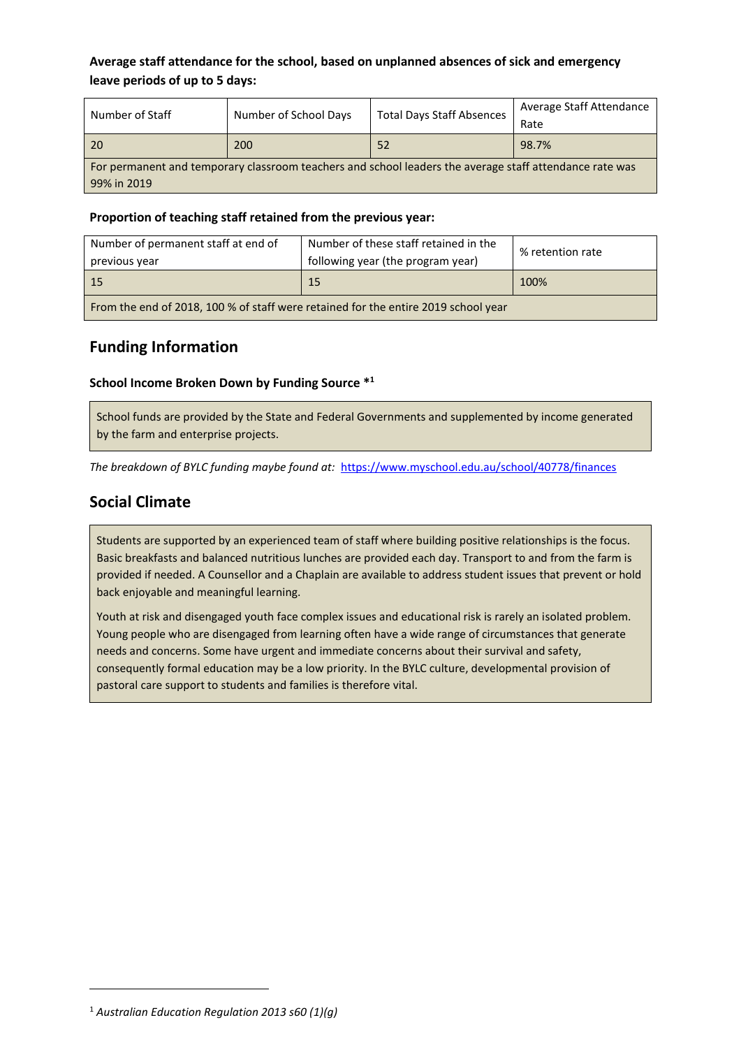### **Average staff attendance for the school, based on unplanned absences of sick and emergency leave periods of up to 5 days:**

| Number of Staff                                                                                         | Number of School Days | <b>Total Days Staff Absences</b> | Average Staff Attendance<br>Rate |
|---------------------------------------------------------------------------------------------------------|-----------------------|----------------------------------|----------------------------------|
| 20                                                                                                      | 200                   | 52                               | 98.7%                            |
| For permanent and temporary classroom teachers and school leaders the average staff attendance rate was |                       |                                  |                                  |
| 99% in 2019                                                                                             |                       |                                  |                                  |

### **Proportion of teaching staff retained from the previous year:**

| Number of permanent staff at end of<br>previous year                               | Number of these staff retained in the<br>following year (the program year) | % retention rate |
|------------------------------------------------------------------------------------|----------------------------------------------------------------------------|------------------|
| - 15                                                                               | 15                                                                         | 100%             |
| From the end of 2018, 100 % of staff were retained for the entire 2019 school year |                                                                            |                  |

## **Funding Information**

### **School Income Broken Down by Funding Source \* 1**

School funds are provided by the State and Federal Governments and supplemented by income generated by the farm and enterprise projects.

*The breakdown of BYLC funding maybe found at:* <https://www.myschool.edu.au/school/40778/finances>

## **Social Climate**

Students are supported by an experienced team of staff where building positive relationships is the focus. Basic breakfasts and balanced nutritious lunches are provided each day. Transport to and from the farm is provided if needed. A Counsellor and a Chaplain are available to address student issues that prevent or hold back enjoyable and meaningful learning.

Youth at risk and disengaged youth face complex issues and educational risk is rarely an isolated problem. Young people who are disengaged from learning often have a wide range of circumstances that generate needs and concerns. Some have urgent and immediate concerns about their survival and safety, consequently formal education may be a low priority. In the BYLC culture, developmental provision of pastoral care support to students and families is therefore vital.

<sup>1</sup> *Australian Education Regulation 2013 s60 (1)(g)*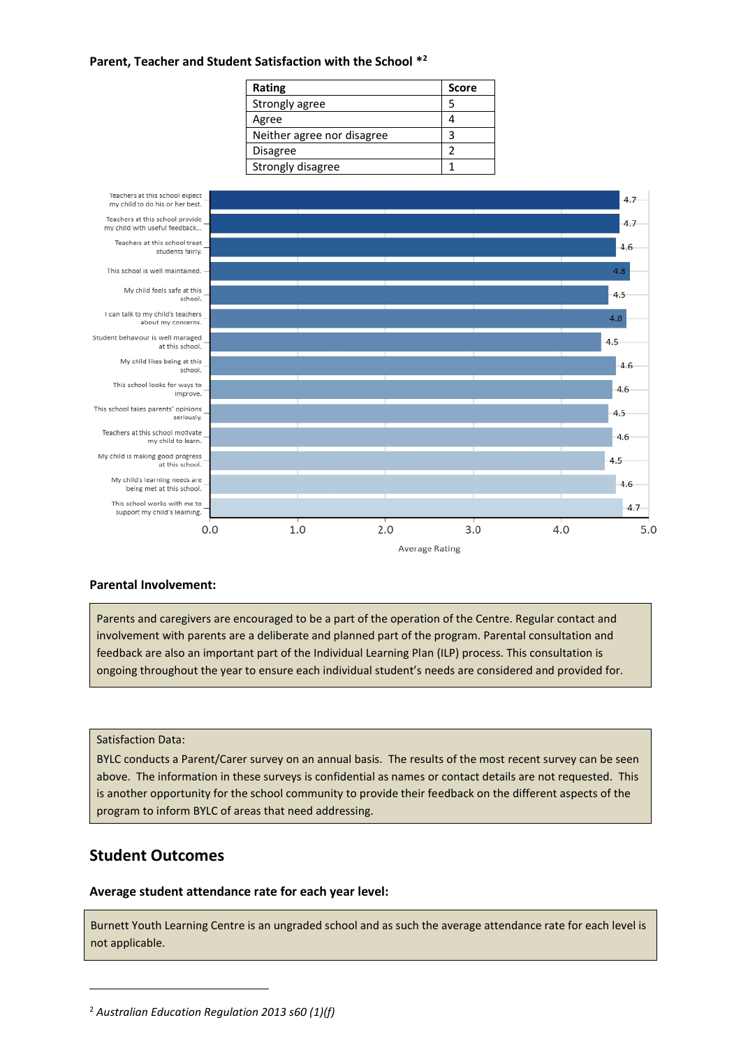### **Parent, Teacher and Student Satisfaction with the School \* 2**

| Rating                     | <b>Score</b> |
|----------------------------|--------------|
| Strongly agree             | 5            |
| Agree                      |              |
| Neither agree nor disagree | 3            |
| <b>Disagree</b>            | າ            |
| Strongly disagree          |              |



### **Parental Involvement:**

Parents and caregivers are encouraged to be a part of the operation of the Centre. Regular contact and involvement with parents are a deliberate and planned part of the program. Parental consultation and feedback are also an important part of the Individual Learning Plan (ILP) process. This consultation is ongoing throughout the year to ensure each individual student's needs are considered and provided for.

### Satisfaction Data:

BYLC conducts a Parent/Carer survey on an annual basis. The results of the most recent survey can be seen above. The information in these surveys is confidential as names or contact details are not requested. This is another opportunity for the school community to provide their feedback on the different aspects of the program to inform BYLC of areas that need addressing.

### **Student Outcomes**

### **Average student attendance rate for each year level:**

Burnett Youth Learning Centre is an ungraded school and as such the average attendance rate for each level is not applicable.

<sup>2</sup> *Australian Education Regulation 2013 s60 (1)(f)*